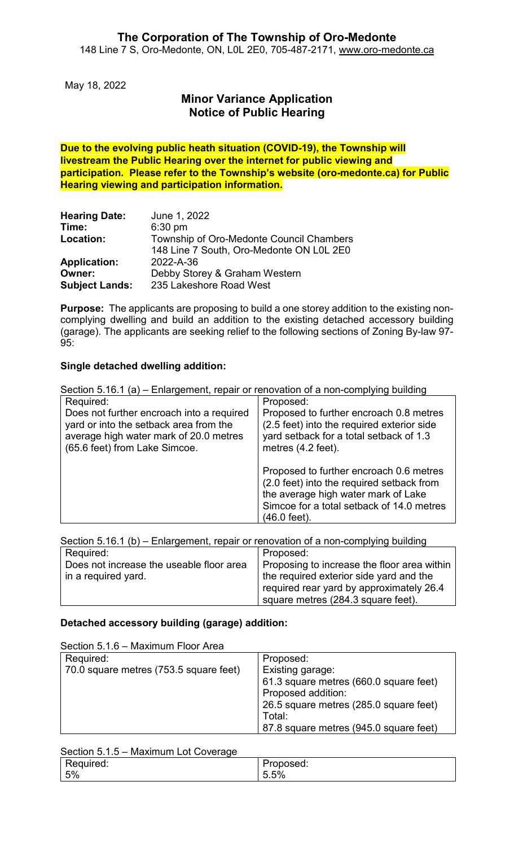May 18, 2022

# **Minor Variance Application Notice of Public Hearing**

**Due to the evolving public heath situation (COVID-19), the Township will livestream the Public Hearing over the internet for public viewing and participation. Please refer to the Township's website (oro-medonte.ca) for Public Hearing viewing and participation information.**

| <b>Hearing Date:</b>  | June 1, 2022                             |
|-----------------------|------------------------------------------|
| Time:                 | $6:30$ pm                                |
| Location:             | Township of Oro-Medonte Council Chambers |
|                       | 148 Line 7 South, Oro-Medonte ON L0L 2E0 |
| <b>Application:</b>   | 2022-A-36                                |
| Owner:                | Debby Storey & Graham Western            |
| <b>Subject Lands:</b> | 235 Lakeshore Road West                  |

**Purpose:** The applicants are proposing to build a one storey addition to the existing noncomplying dwelling and build an addition to the existing detached accessory building (garage). The applicants are seeking relief to the following sections of Zoning By-law 97- 95:

### **Single detached dwelling addition:**

| Section 5.16.1 (a) – Enlargement, repair or renovation of a non-complying building                                                                             |                                                                                                                                                                                          |  |
|----------------------------------------------------------------------------------------------------------------------------------------------------------------|------------------------------------------------------------------------------------------------------------------------------------------------------------------------------------------|--|
| Required:                                                                                                                                                      | Proposed:                                                                                                                                                                                |  |
| Does not further encroach into a required<br>yard or into the setback area from the<br>average high water mark of 20.0 metres<br>(65.6 feet) from Lake Simcoe. | Proposed to further encroach 0.8 metres<br>(2.5 feet) into the required exterior side<br>yard setback for a total setback of 1.3<br>metres (4.2 feet).                                   |  |
|                                                                                                                                                                | Proposed to further encroach 0.6 metres<br>(2.0 feet) into the required setback from<br>the average high water mark of Lake<br>Simcoe for a total setback of 14.0 metres<br>(46.0 feet). |  |

|  |  | Section 5.16.1 (b) – Enlargement, repair or renovation of a non-complying building |
|--|--|------------------------------------------------------------------------------------|
|  |  |                                                                                    |
|  |  |                                                                                    |

| Required:                                | l Proposed:                                 |
|------------------------------------------|---------------------------------------------|
| Does not increase the useable floor area | Proposing to increase the floor area within |
| in a required yard.                      | the required exterior side yard and the     |
|                                          | required rear yard by approximately 26.4    |
|                                          | square metres (284.3 square feet).          |

#### **Detached accessory building (garage) addition:**

| Section 5.1.6 - Maximum Floor Area     |                                        |
|----------------------------------------|----------------------------------------|
| Required:                              | Proposed:                              |
| 70.0 square metres (753.5 square feet) | Existing garage:                       |
|                                        | 61.3 square metres (660.0 square feet) |
|                                        | Proposed addition:                     |
|                                        | 26.5 square metres (285.0 square feet) |
|                                        | Total:                                 |
|                                        | 87.8 square metres (945.0 square feet) |

#### Section 5.1.5 – Maximum Lot Coverage

| ------------                              |                                                        |
|-------------------------------------------|--------------------------------------------------------|
| $\blacksquare$<br>quired:<br>טוי<br>- - - | 'roposed:                                              |
| 5%                                        | $\sim$<br>$5\%$<br>$\overline{\phantom{a}}$<br>$\cdot$ |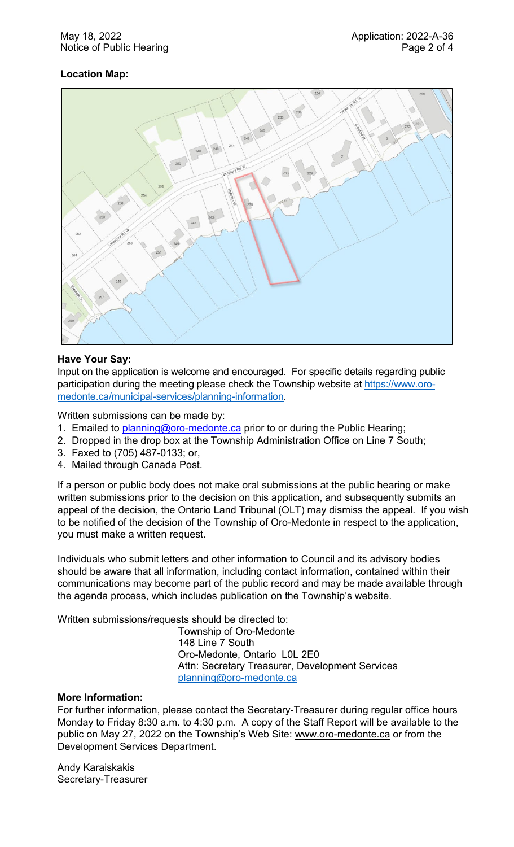#### May 18, 2022 Application: 2022-A-36 Notice of Public Hearing **Page 2 of 4** and 2 of 4

## **Location Map:**



#### **Have Your Say:**

Input on the application is welcome and encouraged. For specific details regarding public participation during the meeting please check the Township website at [https://www.oro](https://www.oro-medonte.ca/municipal-services/planning-information)[medonte.ca/municipal-services/planning-information.](https://www.oro-medonte.ca/municipal-services/planning-information)

Written submissions can be made by:

- 1. Emailed to [planning@oro-medonte.ca](mailto:planning@oro-medonte.ca) prior to or during the Public Hearing;
- 2. Dropped in the drop box at the Township Administration Office on Line 7 South;
- 3. Faxed to (705) 487-0133; or,
- 4. Mailed through Canada Post.

If a person or public body does not make oral submissions at the public hearing or make written submissions prior to the decision on this application, and subsequently submits an appeal of the decision, the Ontario Land Tribunal (OLT) may dismiss the appeal. If you wish to be notified of the decision of the Township of Oro-Medonte in respect to the application, you must make a written request.

Individuals who submit letters and other information to Council and its advisory bodies should be aware that all information, including contact information, contained within their communications may become part of the public record and may be made available through the agenda process, which includes publication on the Township's website.

Written submissions/requests should be directed to:

Township of Oro-Medonte 148 Line 7 South Oro-Medonte, Ontario L0L 2E0 Attn: Secretary Treasurer, Development Services [planning@oro-medonte.ca](mailto:planning@oro-medonte.ca)

#### **More Information:**

For further information, please contact the Secretary-Treasurer during regular office hours Monday to Friday 8:30 a.m. to 4:30 p.m. A copy of the Staff Report will be available to the public on May 27, 2022 on the Township's Web Site: [www.oro-medonte.ca](http://www.oro-medonte.ca/) or from the Development Services Department.

Andy Karaiskakis Secretary-Treasurer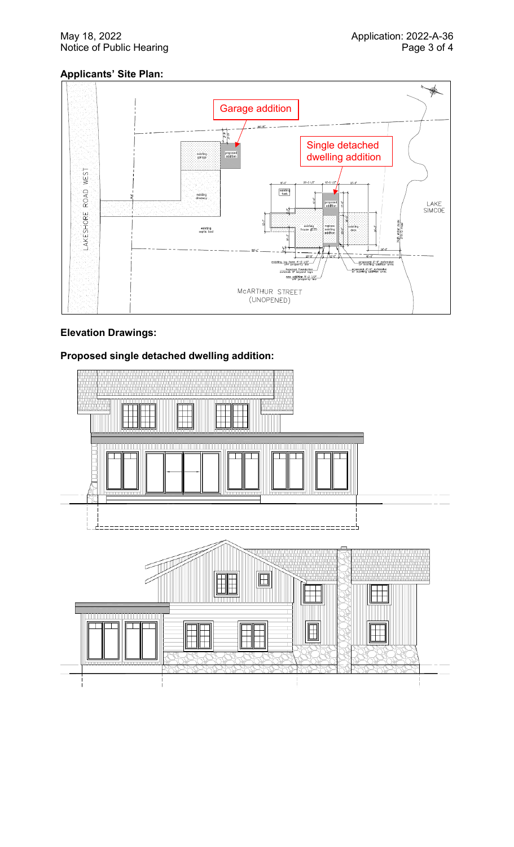#### May 18, 2022 **Application: 2022-A-36** Notice of Public Hearing **Page 3 of 4** and 2 of 4

## **Applicants' Site Plan:**



## **Elevation Drawings:**

## **Proposed single detached dwelling addition:**